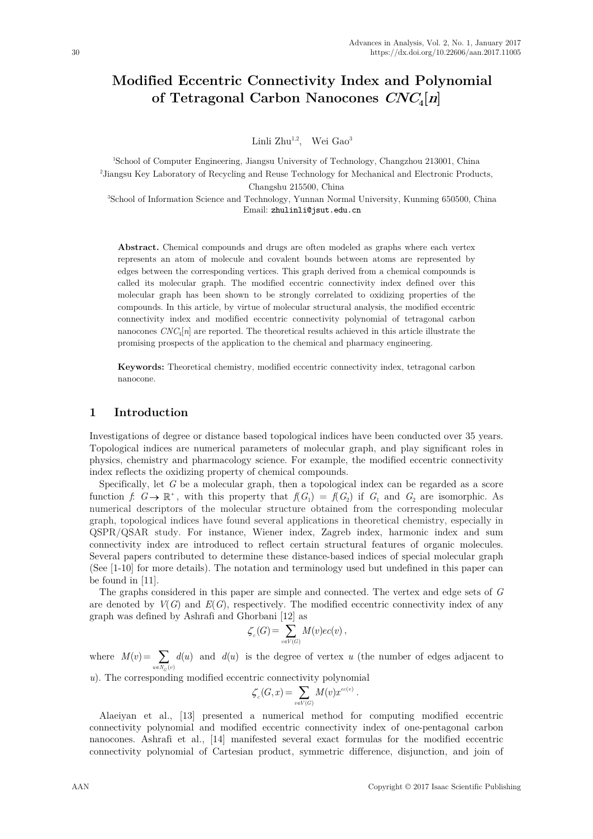# **Modified Eccentric Connectivity Index and Polynomial of Tetragonal Carbon Nanocones CNC4[n]**

Linli Zhu<sup>1,2</sup>, Wei Gao<sup>3</sup>

 School of Computer Engineering, Jiangsu University of Technology, Changzhou 213001, China Jiangsu Key Laboratory of Recycling and Reuse Technology for Mechanical and Electronic Products, Changshu 215500, China School of Information Science and Technology, Yunnan Normal University, Kunming 650500, China

Email: [zhulinli@jsut.edu.cn](mailto:zhulinli@jsut.edu.cn)

**Abstract.** Chemical compounds and drugs are often modeled as graphs where each vertex represents an atom of molecule and covalent bounds between atoms are represented by edges between the corresponding vertices. This graph derived from a chemical compounds is called its molecular graph. The modified eccentric connectivity index defined over this molecular graph has been shown to be strongly correlated to oxidizing properties of the compounds. In this article, by virtue of molecular structural analysis, the modified eccentric connectivity index and modified eccentric connectivity polynomial of tetragonal carbon nanocones  $CNC_4[n]$  are reported. The theoretical results achieved in this article illustrate the promising prospects of the application to the chemical and pharmacy engineering.

**Keywords:** Theoretical chemistry, modified eccentric connectivity index, tetragonal carbon nanocone.

## **1 Introduction**

Investigations of degree or distance based topological indices have been conducted over 35 years. Topological indices are numerical parameters of molecular graph, and play significant roles in physics, chemistry and pharmacology science. For example, the modified eccentric connectivity index reflects the oxidizing property of chemical compounds.

Specifically, let G be a molecular graph, then a topological index can be regarded as a score function *f*:  $G \rightarrow \mathbb{R}^+$ , with this property that  $f(G_1) = f(G_2)$  if  $G_1$  and  $G_2$  are isomorphic. As numerical descriptors of the molecular structure obtained from the corresponding molecular graph, topological indices have found several applications in theoretical chemistry, especially in QSPR/QSAR study. For instance, Wiener index, Zagreb index, harmonic index and sum connectivity index are introduced to reflect certain structural features of organic molecules. Several papers contributed to determine these distance-based indices of special molecular graph (See [1-10] for more details). The notation and terminology used but undefined in this paper can be found in [11].

The graphs considered in this paper are simple and connected. The vertex and edge sets of *G* are denoted by  $V(G)$  and  $E(G)$ , respectively. The modified eccentric connectivity index of any graph was defined by Ashrafi and Ghorbani [12] as

$$
\zeta_c(G) = \sum_{v \in V(G)} M(v)ec(v) ,
$$

where  $M(v) =$  $\sum_{v \in N_C(v)}$  $(u)$  $u \in N_G$  (*v*  $d(u)$  and  $d(u)$  is the degree of vertex  $u$  (the number of edges adjacent to

*u*). The corresponding modified eccentric connectivity polynomial

$$
\zeta_c(G,x) = \sum_{v \in V(G)} M(v) x^{ec(v)}.
$$

Alaeiyan et al., [13] presented a numerical method for computing modified eccentric connectivity polynomial and modified eccentric connectivity index of one-pentagonal carbon nanocones. Ashrafi et al., [14] manifested several exact formulas for the modified eccentric connectivity polynomial of Cartesian product, symmetric difference, disjunction, and join of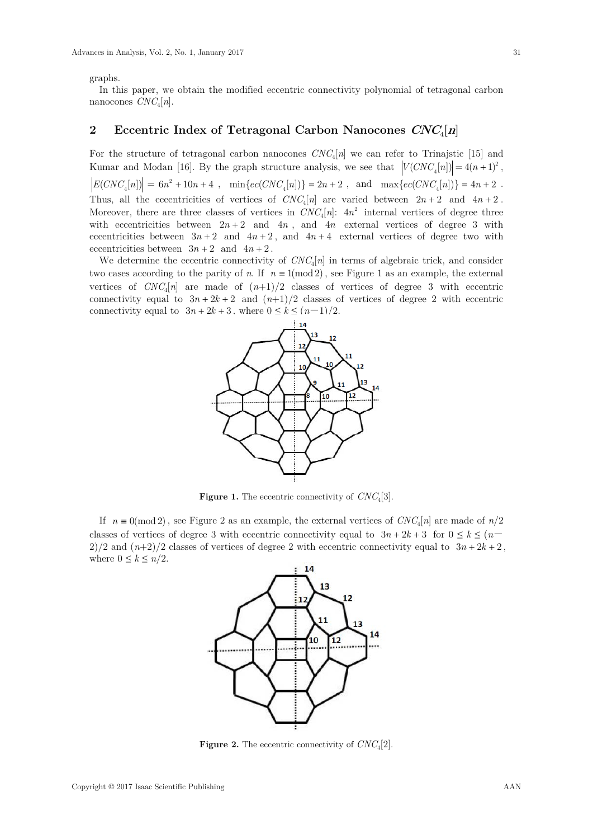graphs.

In this paper, we obtain the modified eccentric connectivity polynomial of tetragonal carbon nanocones  $CNC_4[n]$ .

## **2 Eccentric Index of Tetragonal Carbon Nanocones CNC4[n]**

For the structure of tetragonal carbon nanocones  $CNC_4[n]$  we can refer to Trinajstic [15] and Kumar and Modan [16]. By the graph structure analysis, we see that  $|V(CNC_{\mu}[n])| = 4(n+1)^2$ ,  $\Big| E(CNC_{_4}[n]) \Big| \, = \, 6n^2 \, + \, 10n+4 \;\; , \quad \min\{ ec(CNC_{_4}[n]) \} \, = \, 2n+2 \;\; , \ \ \, \text{and} \quad \, \max\{ ec(CNC_{_4}[n]) \} \, = \, 4n+2 \;\; .$ Thus, all the eccentricities of vertices of  $CNC_4[n]$  are varied between  $2n+2$  and  $4n+2$ . Moreover, there are three classes of vertices in  $CNC_4[n]$ :  $4n^2$  internal vertices of degree three with eccentricities between  $2n + 2$  and  $4n$ , and  $4n$  external vertices of degree 3 with eccentricities between  $3n + 2$  and  $4n + 2$ , and  $4n + 4$  external vertices of degree two with eccentricities between  $3n + 2$  and  $4n + 2$ .

We determine the eccentric connectivity of  $CNC_4[n]$  in terms of algebraic trick, and consider two cases according to the parity of *n*. If  $n \equiv 1 \pmod{2}$ , see Figure 1 as an example, the external vertices of  $CNC_4[n]$  are made of  $(n+1)/2$  classes of vertices of degree 3 with eccentric connectivity equal to  $3n + 2k + 2$  and  $(n+1)/2$  classes of vertices of degree 2 with eccentric connectivity equal to  $3n + 2k + 3$ , where  $0 \le k \le (n-1)/2$ .



**Figure 1.** The eccentric connectivity of *CNC*4[3].

If  $n \equiv 0 \pmod{2}$ , see Figure 2 as an example, the external vertices of  $CNC_4[n]$  are made of  $n/2$ classes of vertices of degree 3 with eccentric connectivity equal to  $3n + 2k + 3$  for  $0 \le k \le (n - 1)$  $2)/2$  and  $(n+2)/2$  classes of vertices of degree 2 with eccentric connectivity equal to  $3n + 2k + 2$ , where  $0 \leq k \leq n/2$ .



**Figure 2.** The eccentric connectivity of *CNC*4[2].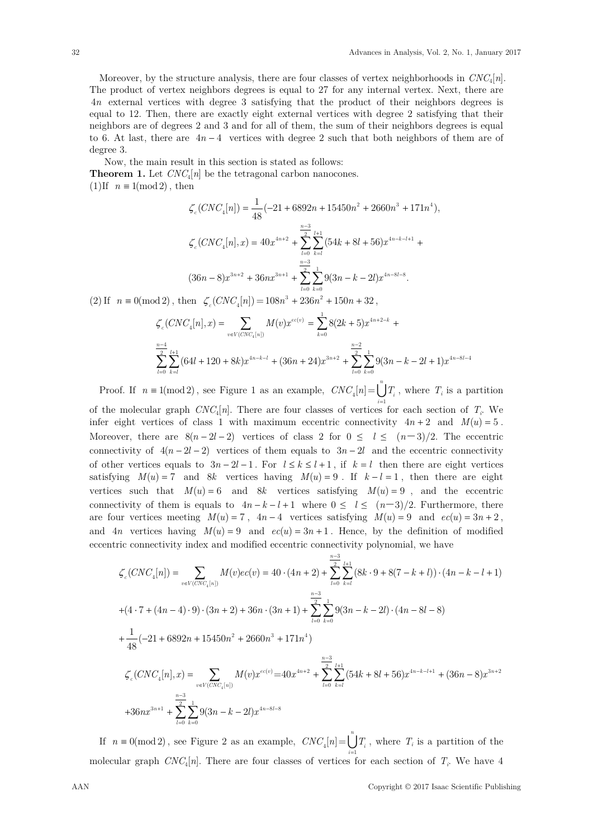Moreover, by the structure analysis, there are four classes of vertex neighborhoods in *CNC*4[*n*]. The product of vertex neighbors degrees is equal to 27 for any internal vertex. Next, there are 4*n* external vertices with degree 3 satisfying that the product of their neighbors degrees is equal to 12. Then, there are exactly eight external vertices with degree 2 satisfying that their neighbors are of degrees 2 and 3 and for all of them, the sum of their neighbors degrees is equal to 6. At last, there are  $4n-4$  vertices with degree 2 such that both neighbors of them are of degree 3.

Now, the main result in this section is stated as follows: **Theorem 1.** Let  $CNC_4[n]$  be the tetragonal carbon nanocones.  $(1)$ If  $n \equiv 1 \pmod{2}$ , then

$$
\zeta_c(CNC_4[n]) = \frac{1}{48}(-21 + 6892n + 15450n^2 + 2660n^3 + 171n^4),
$$
  

$$
\zeta_c(CNC_4[n], x) = 40x^{4n+2} + \sum_{l=0}^{\frac{n-3}{2}} \sum_{k=l}^{l+1} (54k + 8l + 56)x^{4n-k-l+1} +
$$
  

$$
(36n - 8)x^{3n+2} + 36nx^{3n+1} + \sum_{l=0}^{\frac{n-3}{2}} \sum_{k=0}^{1} 9(3n - k - 2l)x^{4n-8l-8}.
$$

(2) If  $n \equiv 0 \pmod{2}$ , then  $\zeta_c(CNC_a[n]) = 108n^3 + 236n^2 + 150n + 32$ ,

$$
\zeta_c(CNC_4[n],x) = \sum_{v \in V(CNC_4[n])} M(v)x^{ec(v)} = \sum_{k=0}^{1} 8(2k+5)x^{4n+2-k} + \sum_{l=0}^{n-4} \sum_{k=l}^{l+1} (64l+120+8k)x^{4n-k-l} + (36n+24)x^{3n+2} + \sum_{l=0}^{n-2} \sum_{k=0}^{1} 9(3n-k-2l+1)x^{4n-8l-4}
$$

Proof. If  $n \equiv 1 \pmod{2}$ , see Figure 1 as an example,  $CNC_4[n] = \bigcup_{i=1}^{\infty}$ *n*  $T_i$ , where  $T_i$  is a partition

of the molecular graph  $CNC_4[n]$ . There are four classes of vertices for each section of  $T_i$ . We infer eight vertices of class 1 with maximum eccentric connectivity  $4n + 2$  and  $M(u) = 5$ . Moreover, there are  $8(n-2l-2)$  vertices of class 2 for  $0 \leq l \leq (n-3)/2$ . The eccentric connectivity of  $4(n - 2l - 2)$  vertices of them equals to  $3n - 2l$  and the eccentric connectivity of other vertices equals to  $3n - 2l - 1$ . For  $l \le k \le l + 1$ , if  $k = l$  then there are eight vertices satisfying  $M(u) = 7$  and 8k vertices having  $M(u) = 9$ . If  $k - l = 1$ , then there are eight vertices such that  $M(u) = 6$  and 8*k* vertices satisfying  $M(u) = 9$ , and the eccentric connectivity of them is equals to  $4n - k - l + 1$  where  $0 \leq l \leq (n-3)/2$ . Furthermore, there are four vertices meeting  $M(u) = 7$ ,  $4n - 4$  vertices satisfying  $M(u) = 9$  and  $ec(u) = 3n + 2$ , and  $4n$  vertices having  $M(u) = 9$  and  $ec(u) = 3n + 1$ . Hence, by the definition of modified eccentric connectivity index and modified eccentric connectivity polynomial, we have

$$
\zeta_c(CNC_4[n]) = \sum_{v \in V(CNC_4[n])} M(v)ec(v) = 40 \cdot (4n+2) + \sum_{l=0}^{\frac{n-3}{2}} \sum_{k=l}^{l+1} (8k \cdot 9 + 8(7-k+l)) \cdot (4n-k-l+1)
$$
  
+
$$
(4 \cdot 7 + (4n-4) \cdot 9) \cdot (3n+2) + 36n \cdot (3n+1) + \sum_{l=0}^{\frac{n-3}{2}} \sum_{k=0}^{1} 9(3n-k-2l) \cdot (4n-8l-8)
$$
  
+
$$
\frac{1}{48}(-21 + 6892n + 15450n^2 + 2660n^3 + 171n^4)
$$
  

$$
\zeta_c(CNC_4[n], x) = \sum_{v \in V(CNC_4[n])} M(v)x^{ec(v)} = 40x^{4n+2} + \sum_{l=0}^{\frac{n-3}{2}} \sum_{k=l}^{l+1} (54k+8l+56)x^{4n-k-l+1} + (36n-8)x^{3n+2}
$$
  
+
$$
36nx^{3n+1} + \sum_{l=0}^{\frac{n-3}{2}} \sum_{k=0}^{1} 9(3n-k-2l)x^{4n-8l-8}
$$

If  $n \equiv 0 \pmod{2}$ , see Figure 2 as an example,  $CNC_{4}[n] = \bigcup_{n=1}^{n}$ molecular graph  $CNC_4[n]$ . There are four classes of vertices for each section of  $T_i$ . We have 4  $T_i$ , where  $T_i$  is a partition of the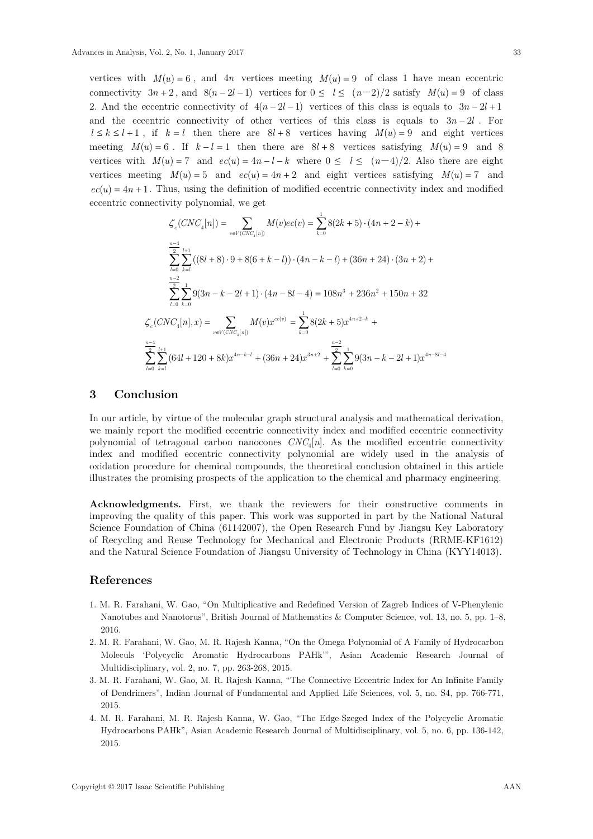vertices with  $M(u) = 6$ , and  $4n$  vertices meeting  $M(u) = 9$  of class 1 have mean eccentric connectivity  $3n + 2$ , and  $8(n - 2l - 1)$  vertices for  $0 \le l \le (n - 2)/2$  satisfy  $M(u) = 9$  of class 2. And the eccentric connectivity of  $4(n-2l-1)$  vertices of this class is equals to  $3n-2l+1$ and the eccentric connectivity of other vertices of this class is equals to  $3n - 2l$ . For  $l \leq k \leq l+1$ , if  $k = l$  then there are  $8l+8$  vertices having  $M(u) = 9$  and eight vertices meeting  $M(u) = 6$ . If  $k - l = 1$  then there are  $8l + 8$  vertices satisfying  $M(u) = 9$  and 8 vertices with  $M(u) = 7$  and  $ec(u) = 4n - l - k$  where  $0 \le l \le (n-4)/2$ . Also there are eight vertices meeting  $M(u) = 5$  and  $ec(u) = 4n + 2$  and eight vertices satisfying  $M(u) = 7$  and  $ec(u) = 4n + 1$ . Thus, using the definition of modified eccentric connectivity index and modified eccentric connectivity polynomial, we get

$$
\zeta_c(CNC_4[n]) = \sum_{v \in V(CNC_4[n])} M(v)ec(v) = \sum_{k=0}^1 8(2k+5) \cdot (4n+2-k) +
$$
  

$$
\sum_{l=0}^{\frac{n-4}{2}} \sum_{k=l}^{l+1} ((8l+8) \cdot 9 + 8(6+k-l)) \cdot (4n-k-l) + (36n+24) \cdot (3n+2) +
$$
  

$$
\sum_{l=0}^{\frac{n-2}{2}} \sum_{k=0}^1 9(3n-k-2l+1) \cdot (4n-8l-4) = 108n^3 + 236n^2 + 150n + 32
$$
  

$$
\zeta_c(CNC_4[n], x) = \sum_{v \in V(CNC_4[n])} M(v) x^{ec(v)} = \sum_{k=0}^1 8(2k+5) x^{4n+2-k} +
$$
  

$$
\sum_{l=0}^{\frac{n-4}{2}} \sum_{k=l}^{l+1} (64l+120+8k) x^{4n-k-l} + (36n+24) x^{3n+2} + \sum_{l=0}^{\frac{n-2}{2}} \sum_{k=0}^1 9(3n-k-2l+1) x^{4n-8l-4}
$$

#### **3 Conclusion**

In our article, by virtue of the molecular graph structural analysis and mathematical derivation, we mainly report the modified eccentric connectivity index and modified eccentric connectivity polynomial of tetragonal carbon nanocones  $CNC_4[n]$ . As the modified eccentric connectivity index and modified eccentric connectivity polynomial are widely used in the analysis of oxidation procedure for chemical compounds, the theoretical conclusion obtained in this article illustrates the promising prospects of the application to the chemical and pharmacy engineering.

**Acknowledgments.** First, we thank the reviewers for their constructive comments in improving the quality of this paper. This work was supported in part by the National Natural Science Foundation of China (61142007), the Open Research Fund by Jiangsu Key Laboratory of Recycling and Reuse Technology for Mechanical and Electronic Products (RRME-KF1612) and the Natural Science Foundation of Jiangsu University of Technology in China (KYY14013).

### **References**

- 1. M. R. Farahani, W. Gao, "On Multiplicative and Redefined Version of Zagreb Indices of V-Phenylenic Nanotubes and Nanotorus", British Journal of Mathematics & Computer Science, vol. 13, no. 5, pp. 1–8, 2016.
- 2. M. R. Farahani, W. Gao, M. R. Rajesh Kanna, "On the Omega Polynomial of A Family of Hydrocarbon Moleculs 'Polycyclic Aromatic Hydrocarbons PAHk'", Asian Academic Research Journal of Multidisciplinary, vol. 2, no. 7, pp. 263-268, 2015.
- 3. M. R. Farahani, W. Gao, M. R. Rajesh Kanna, "The Connective Eccentric Index for An Infinite Family of Dendrimers", Indian Journal of Fundamental and Applied Life Sciences, vol. 5, no. S4, pp. 766-771, 2015.
- 4. M. R. Farahani, M. R. Rajesh Kanna, W. Gao, "The Edge-Szeged Index of the Polycyclic Aromatic Hydrocarbons PAHk", Asian Academic Research Journal of Multidisciplinary, vol. 5, no. 6, pp. 136-142, 2015.